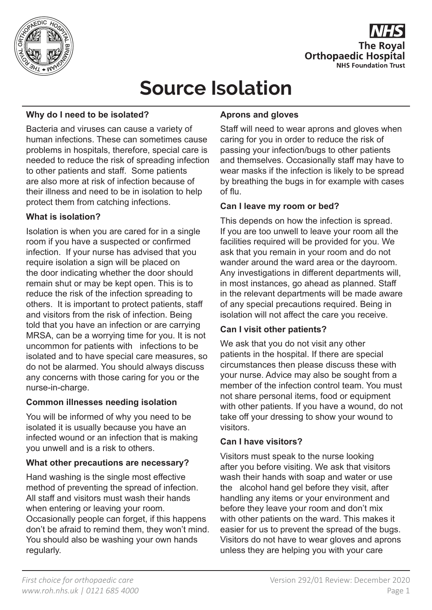

## **The Roval Orthopaedic Hospital NHS Foundation Trust**

# **Source Isolation**

#### **Why do I need to be isolated?**

Bacteria and viruses can cause a variety of human infections. These can sometimes cause problems in hospitals, therefore, special care is needed to reduce the risk of spreading infection to other patients and staff. Some patients are also more at risk of infection because of their illness and need to be in isolation to help protect them from catching infections.

#### **What is isolation?**

Isolation is when you are cared for in a single room if you have a suspected or confirmed infection. If your nurse has advised that you require isolation a sign will be placed on the door indicating whether the door should remain shut or may be kept open. This is to reduce the risk of the infection spreading to others. It is important to protect patients, staff and visitors from the risk of infection. Being told that you have an infection or are carrying MRSA, can be a worrying time for you. It is not uncommon for patients with infections to be isolated and to have special care measures, so do not be alarmed. You should always discuss any concerns with those caring for you or the nurse-in-charge.

#### **Common illnesses needing isolation**

You will be informed of why you need to be isolated it is usually because you have an infected wound or an infection that is making you unwell and is a risk to others.

#### **What other precautions are necessary?**

Hand washing is the single most effective method of preventing the spread of infection. All staff and visitors must wash their hands when entering or leaving your room. Occasionally people can forget, if this happens don't be afraid to remind them, they won't mind. You should also be washing your own hands regularly.

#### **Aprons and gloves**

Staff will need to wear aprons and gloves when caring for you in order to reduce the risk of passing your infection/bugs to other patients and themselves. Occasionally staff may have to wear masks if the infection is likely to be spread by breathing the bugs in for example with cases of flu.

#### **Can I leave my room or bed?**

This depends on how the infection is spread. If you are too unwell to leave your room all the facilities required will be provided for you. We ask that you remain in your room and do not wander around the ward area or the dayroom. Any investigations in different departments will, in most instances, go ahead as planned. Staff in the relevant departments will be made aware of any special precautions required. Being in isolation will not affect the care you receive.

#### **Can I visit other patients?**

We ask that you do not visit any other patients in the hospital. If there are special circumstances then please discuss these with your nurse. Advice may also be sought from a member of the infection control team. You must not share personal items, food or equipment with other patients. If you have a wound, do not take off your dressing to show your wound to visitors.

#### **Can I have visitors?**

Visitors must speak to the nurse looking after you before visiting. We ask that visitors wash their hands with soap and water or use the alcohol hand gel before they visit, after handling any items or your environment and before they leave your room and don't mix with other patients on the ward. This makes it easier for us to prevent the spread of the bugs. Visitors do not have to wear gloves and aprons unless they are helping you with your care